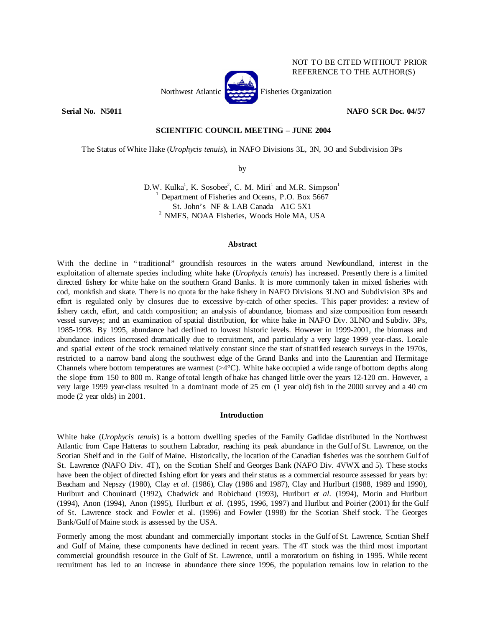

NOT TO BE CITED WITHOUT PRIOR REFERENCE TO THE AUTHOR(S)

**Serial No. N5011 NAFO SCR Doc. 04/57** 

# **SCIENTIFIC COUNCIL MEETING – JUNE 2004**

The Status of White Hake (*Urophycis tenuis*), in NAFO Divisions 3L, 3N, 3O and Subdivision 3Ps

by

D.W. Kulka<sup>1</sup>, K. Sosobee<sup>2</sup>, C. M. Miri<sup>1</sup> and M.R. Simpson<sup>1</sup> Department of Fisheries and Oceans, P.O. Box 5667 St. John's NF & LAB Canada A1C 5X1<sup>2</sup> NMFS, NOAA Fisheries, Woods Hole MA, USA

#### **Abstract**

With the decline in "traditional" groundfish resources in the waters around Newfoundland, interest in the exploitation of alternate species including white hake (*Urophycis tenuis*) has increased. Presently there is a limited directed fishery for white hake on the southern Grand Banks. It is more commonly taken in mixed fisheries with cod, monkfish and skate. There is no quota for the hake fishery in NAFO Divisions 3LNO and Subdivision 3Ps and effort is regulated only by closures due to excessive by-catch of other species. This paper provides: a review of fishery catch, effort, and catch composition; an analysis of abundance, biomass and size composition from research vessel surveys; and an examination of spatial distribution, for white hake in NAFO Div. 3LNO and Subdiv. 3Ps, 1985-1998. By 1995, abundance had declined to lowest historic levels. However in 1999-2001, the biomass and abundance indices increased dramatically due to recruitment, and particularly a very large 1999 year-class. Locale and spatial extent of the stock remained relatively constant since the start of stratified research surveys in the 1970s, restricted to a narrow band along the southwest edge of the Grand Banks and into the Laurentian and Hermitage Channels where bottom temperatures are warmest  $(>=4^{\circ}C)$ . White hake occupied a wide range of bottom depths along the slope from 150 to 800 m. Range of total length of hake has changed little over the years 12-120 cm. However, a very large 1999 year-class resulted in a dominant mode of 25 cm (1 year old) fish in the 2000 survey and a 40 cm mode (2 year olds) in 2001.

#### **Introduction**

White hake (*Urophycis tenuis*) is a bottom dwelling species of the Family Gadidae distributed in the Northwest Atlantic from Cape Hatteras to southern Labrador, reaching its peak abundance in the Gulf of St. Lawrence, on the Scotian Shelf and in the Gulf of Maine. Historically, the location of the Canadian fisheries was the southern Gulf of St. Lawrence (NAFO Div. 4T), on the Scotian Shelf and Georges Bank (NAFO Div. 4VWX and 5). These stocks have been the object of directed fishing effort for years and their status as a commercial resource assessed for years by: Beacham and Nepszy (1980), Clay *et al.* (1986), Clay (1986 and 1987), Clay and Hurlburt (1988, 1989 and 1990), Hurlburt and Chouinard (1992), Chadwick and Robichaud (1993), Hurlburt *et al.* (1994), Morin and Hurlburt (1994), Anon (1994), Anon (1995), Hurlburt *et al.* (1995, 1996, 1997) and Hurlbut and Poirier (2001) for the Gulf of St. Lawrence stock and Fowler et al. (1996) and Fowler (1998) for the Scotian Shelf stock. The Georges Bank/Gulf of Maine stock is assessed by the USA.

Formerly among the most abundant and commercially important stocks in the Gulf of St. Lawrence, Scotian Shelf and Gulf of Maine, these components have declined in recent years. The 4T stock was the third most important commercial groundfish resource in the Gulf of St. Lawrence, until a moratorium on fishing in 1995. While recent recruitment has led to an increase in abundance there since 1996, the population remains low in relation to the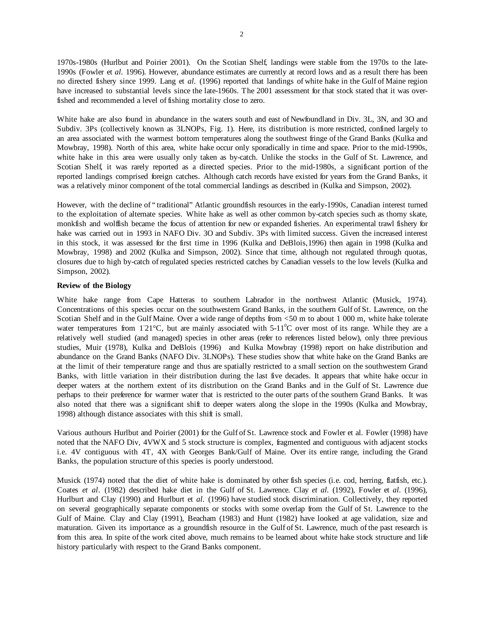1970s-1980s (Hurlbut and Poirier 2001). On the Scotian Shelf, landings were stable from the 1970s to the late-1990s (Fowler et *al.* 1996). However, abundance estimates are currently at record lows and as a result there has been no directed fishery since 1999. Lang et *al.* (1996) reported that landings of white hake in the Gulf of Maine region have increased to substantial levels since the late-1960s. The 2001 assessment for that stock stated that it was overfished and recommended a level of fishing mortality close to zero.

White hake are also found in abundance in the waters south and east of Newfoundland in Div. 3L, 3N, and 3O and Subdiv. 3Ps (collectively known as 3LNOPs, Fig. 1). Here, its distribution is more restricted, confined largely to an area associated with the warmest bottom temperatures along the southwest fringe of the Grand Banks (Kulka and Mowbray, 1998). North of this area, white hake occur only sporadically in time and space. Prior to the mid-1990s, white hake in this area were usually only taken as by-catch. Unlike the stocks in the Gulf of St. Lawrence, and Scotian Shelf, it was rarely reported as a directed species. Prior to the mid-1980s, a significant portion of the reported landings comprised foreign catches. Although catch records have existed for years from the Grand Banks, it was a relatively minor component of the total commercial landings as described in (Kulka and Simpson, 2002).

However, with the decline of " traditional" Atlantic groundfish resources in the early-1990s, Canadian interest turned to the exploitation of alternate species. White hake as well as other common by-catch species such as thorny skate, monkfish and wolffish became the focus of attention for new or expanded fisheries. An experimental trawl fishery for hake was carried out in 1993 in NAFO Div. 3O and Subdiv. 3Ps with limited success. Given the increased interest in this stock, it was assessed for the first time in 1996 (Kulka and DeBlois,1996) then again in 1998 (Kulka and Mowbray, 1998) and 2002 (Kulka and Simpson, 2002). Since that time, although not regulated through quotas, closures due to high by-catch of regulated species restricted catches by Canadian vessels to the low levels (Kulka and Simpson, 2002).

### **Review of the Biology**

White hake range from Cape Hatteras to southern Labrador in the northwest Atlantic (Musick, 1974). Concentrations of this species occur on the southwestern Grand Banks, in the southern Gulf of St. Lawrence, on the Scotian Shelf and in the Gulf Maine. Over a wide range of depths from <50 m to about 1 000 m, white hake tolerate water temperatures from 121°C, but are mainly associated with  $5\text{-}11^{\circ}$ C over most of its range. While they are a relatively well studied (and managed) species in other areas (refer to references listed below), only three previous studies, Muir (1978), Kulka and DeBlois (1996) and Kulka Mowbray (1998) report on hake distribution and abundance on the Grand Banks (NAFO Div. 3LNOPs). These studies show that white hake on the Grand Banks are at the limit of their temperature range and thus are spatially restricted to a small section on the southwestern Grand Banks, with little variation in their distribution during the last five decades. It appears that white hake occur in deeper waters at the northern extent of its distribution on the Grand Banks and in the Gulf of St. Lawrence due perhaps to their preference for warmer water that is restricted to the outer parts of the southern Grand Banks. It was also noted that there was a significant shift to deeper waters along the slope in the 1990s (Kulka and Mowbray, 1998) although distance associates with this shift is small.

Various authours Hurlbut and Poirier (2001) for the Gulf of St. Lawrence stock and Fowler et al. Fowler (1998) have noted that the NAFO Div, 4VWX and 5 stock structure is complex, fragmented and contiguous with adjacent stocks i.e. 4V contiguous with 4T, 4X with Georges Bank/Gulf of Maine. Over its entire range, including the Grand Banks, the population structure of this species is poorly understood.

Musick (1974) noted that the diet of white hake is dominated by other fish species (i.e. cod, herring, flatfish, etc.). Coates *et al*. (1982) described hake diet in the Gulf of St. Lawrence. Clay *et al.* (1992), Fowler et *al.* (1996), Hurlburt and Clay (1990) and Hurlburt et *al.* (1996) have studied stock discrimination. Collectively, they reported on several geographically separate components or stocks with some overlap from the Gulf of St. Lawrence to the Gulf of Maine. Clay and Clay (1991), Beacham (1983) and Hunt (1982) have looked at age validation, size and maturation. Given its importance as a groundfish resource in the Gulf of St. Lawrence, much of the past research is from this area. In spite of the work cited above, much remains to be learned about white hake stock structure and life history particularly with respect to the Grand Banks component.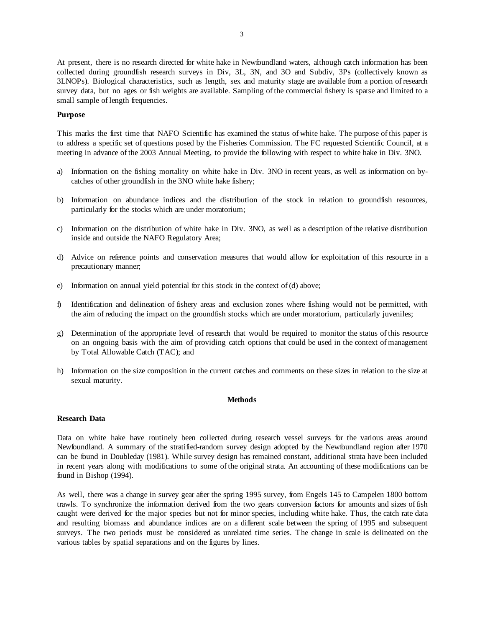At present, there is no research directed for white hake in Newfoundland waters, although catch information has been collected during groundfish research surveys in Div, 3L, 3N, and 3O and Subdiv, 3Ps (collectively known as 3LNOPs). Biological characteristics, such as length, sex and maturity stage are available from a portion of research survey data, but no ages or fish weights are available. Sampling of the commercial fishery is sparse and limited to a small sample of length frequencies.

#### **Purpose**

This marks the first time that NAFO Scientific has examined the status of white hake. The purpose of this paper is to address a specific set of questions posed by the Fisheries Commission. The FC requested Scientific Council, at a meeting in advance of the 2003 Annual Meeting, to provide the following with respect to white hake in Div. 3NO.

- a) Information on the fishing mortality on white hake in Div. 3NO in recent years, as well as information on bycatches of other groundfish in the 3NO white hake fishery;
- b) Information on abundance indices and the distribution of the stock in relation to groundfish resources, particularly for the stocks which are under moratorium;
- c) Information on the distribution of white hake in Div. 3NO, as well as a description of the relative distribution inside and outside the NAFO Regulatory Area;
- d) Advice on reference points and conservation measures that would allow for exploitation of this resource in a precautionary manner;
- e) Information on annual yield potential for this stock in the context of (d) above;
- f) Identification and delineation of fishery areas and exclusion zones where fishing would not be permitted, with the aim of reducing the impact on the groundfish stocks which are under moratorium, particularly juveniles;
- g) Determination of the appropriate level of research that would be required to monitor the status of this resource on an ongoing basis with the aim of providing catch options that could be used in the context of management by Total Allowable Catch (TAC); and
- h) Information on the size composition in the current catches and comments on these sizes in relation to the size at sexual maturity.

#### **Methods**

### **Research Data**

Data on white hake have routinely been collected during research vessel surveys for the various areas around Newfoundland. A summary of the stratified-random survey design adopted by the Newfoundland region after 1970 can be found in Doubleday (1981). While survey design has remained constant, additional strata have been included in recent years along with modifications to some of the original strata. An accounting of these modifications can be found in Bishop (1994).

As well, there was a change in survey gear after the spring 1995 survey, from Engels 145 to Campelen 1800 bottom trawls. To synchronize the information derived from the two gears conversion factors for amounts and sizes of fish caught were derived for the major species but not for minor species, including white hake. Thus, the catch rate data and resulting biomass and abundance indices are on a different scale between the spring of 1995 and subsequent surveys. The two periods must be considered as unrelated time series. The change in scale is delineated on the various tables by spatial separations and on the figures by lines.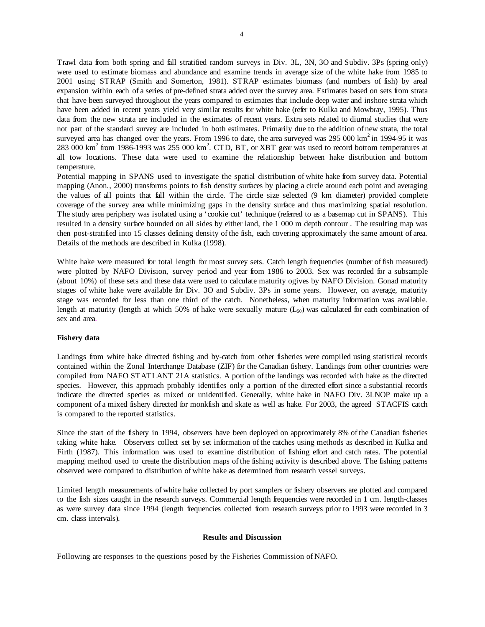Trawl data from both spring and fall stratified random surveys in Div. 3L, 3N, 3O and Subdiv. 3Ps (spring only) were used to estimate biomass and abundance and examine trends in average size of the white hake from 1985 to 2001 using STRAP (Smith and Somerton, 1981). STRAP estimates biomass (and numbers of fish) by areal expansion within each of a series of pre-defined strata added over the survey area. Estimates based on sets from strata that have been surveyed throughout the years compared to estimates that include deep water and inshore strata which have been added in recent years yield very similar results for white hake (refer to Kulka and Mowbray, 1995). Thus data from the new strata are included in the estimates of recent years. Extra sets related to diurnal studies that were not part of the standard survey are included in both estimates. Primarily due to the addition of new strata, the total surveyed area has changed over the years. From 1996 to date, the area surveyed was  $295\,000 \text{ km}^2$  in 1994-95 it was 283 000 km<sup>2</sup> from 1986-1993 was 255 000 km<sup>2</sup>. CTD, BT, or XBT gear was used to record bottom temperatures at all tow locations. These data were used to examine the relationship between hake distribution and bottom temperature.

Potential mapping in SPANS used to investigate the spatial distribution of white hake from survey data. Potential mapping (Anon., 2000) transforms points to fish density surfaces by placing a circle around each point and averaging the values of all points that fall within the circle. The circle size selected (9 km diameter) provided complete coverage of the survey area while minimizing gaps in the density surface and thus maximizing spatial resolution. The study area periphery was isolated using a 'cookie cut' technique (referred to as a basemap cut in SPANS). This resulted in a density surface bounded on all sides by either land, the 1 000 m depth contour . The resulting map was then post-stratified into 15 classes defining density of the fish, each covering approximately the same amount of area. Details of the methods are described in Kulka (1998).

White hake were measured for total length for most survey sets. Catch length frequencies (number of fish measured) were plotted by NAFO Division, survey period and year from 1986 to 2003. Sex was recorded for a subsample (about 10%) of these sets and these data were used to calculate maturity ogives by NAFO Division. Gonad maturity stages of white hake were available for Div. 3O and Subdiv. 3Ps in some years. However, on average, maturity stage was recorded for less than one third of the catch. Nonetheless, when maturity information was available. length at maturity (length at which 50% of hake were sexually mature  $(L_{50})$  was calculated for each combination of sex and area.

# **Fishery data**

Landings from white hake directed fishing and by-catch from other fisheries were compiled using statistical records contained within the Zonal Interchange Database (ZIF) for the Canadian fishery. Landings from other countries were compiled from NAFO STATLANT 21A statistics. A portion of the landings was recorded with hake as the directed species. However, this approach probably identifies only a portion of the directed effort since a substantial records indicate the directed species as mixed or unidentified. Generally, white hake in NAFO Div. 3LNOP make up a component of a mixed fishery directed for monkfish and skate as well as hake. For 2003, the agreed STACFIS catch is compared to the reported statistics.

Since the start of the fishery in 1994, observers have been deployed on approximately 8% of the Canadian fisheries taking white hake. Observers collect set by set information of the catches using methods as described in Kulka and Firth (1987). This information was used to examine distribution of fishing effort and catch rates. The potential mapping method used to create the distribution maps of the fishing activity is described above. The fishing patterns observed were compared to distribution of white hake as determined from research vessel surveys.

Limited length measurements of white hake collected by port samplers or fishery observers are plotted and compared to the fish sizes caught in the research surveys. Commercial length frequencies were recorded in 1 cm. length-classes as were survey data since 1994 (length frequencies collected from research surveys prior to 1993 were recorded in 3 cm. class intervals).

#### **Results and Discussion**

Following are responses to the questions posed by the Fisheries Commission of NAFO.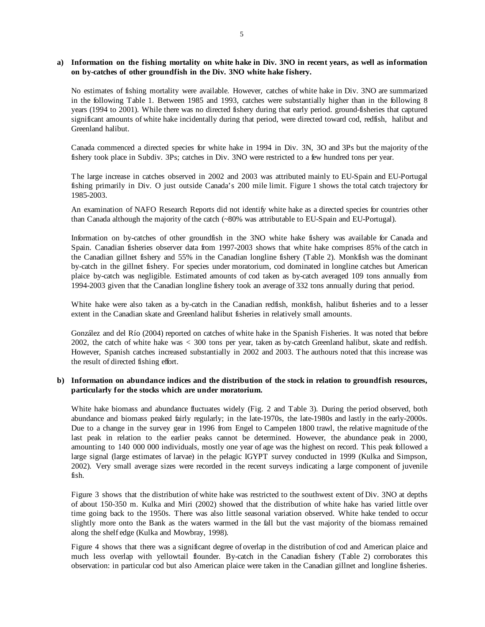## **a) Information on the fishing mortality on white hake in Div. 3NO in recent years, as well as information on by-catches of other groundfish in the Div. 3NO white hake fishery.**

No estimates of fishing mortality were available. However, catches of white hake in Div. 3NO are summarized in the following Table 1. Between 1985 and 1993, catches were substantially higher than in the following 8 years (1994 to 2001). While there was no directed fishery during that early period. ground-fisheries that captured significant amounts of white hake incidentally during that period, were directed toward cod, redfish, halibut and Greenland halibut.

Canada commenced a directed species for white hake in 1994 in Div. 3N, 3O and 3Ps but the majority of the fishery took place in Subdiv. 3Ps; catches in Div. 3NO were restricted to a few hundred tons per year.

The large increase in catches observed in 2002 and 2003 was attributed mainly to EU-Spain and EU-Portugal fishing primarily in Div. O just outside Canada's 200 mile limit. Figure 1 shows the total catch trajectory for 1985-2003.

An examination of NAFO Research Reports did not identify white hake as a directed species for countries other than Canada although the majority of the catch (~80% was attributable to EU-Spain and EU-Portugal).

Information on by-catches of other groundfish in the 3NO white hake fishery was available for Canada and Spain. Canadian fisheries observer data from 1997-2003 shows that white hake comprises 85% of the catch in the Canadian gillnet fishery and 55% in the Canadian longline fishery (Table 2). Monkfish was the dominant by-catch in the gillnet fishery. For species under moratorium, cod dominated in longline catches but American plaice by-catch was negligible. Estimated amounts of cod taken as by-catch averaged 109 tons annually from 1994-2003 given that the Canadian longline fishery took an average of 332 tons annually during that period.

White hake were also taken as a by-catch in the Canadian redfish, monkfish, halibut fisheries and to a lesser extent in the Canadian skate and Greenland halibut fisheries in relatively small amounts.

González and del Río (2004) reported on catches of white hake in the Spanish Fisheries. It was noted that before 2002, the catch of white hake was < 300 tons per year, taken as by-catch Greenland halibut, skate and redfish. However, Spanish catches increased substantially in 2002 and 2003. The authours noted that this increase was the result of directed fishing effort.

# **b) Information on abundance indices and the distribution of the stock in relation to groundfish resources, particularly for the stocks which are under moratorium.**

White hake biomass and abundance fluctuates widely (Fig. 2 and Table 3). During the period observed, both abundance and biomass peaked fairly regularly; in the late-1970s, the late-1980s and lastly in the early-2000s. Due to a change in the survey gear in 1996 from Engel to Campelen 1800 trawl, the relative magnitude of the last peak in relation to the earlier peaks cannot be determined. However, the abundance peak in 2000, amounting to 140 000 000 individuals, mostly one year of age was the highest on record. This peak followed a large signal (large estimates of larvae) in the pelagic IGYPT survey conducted in 1999 (Kulka and Simpson, 2002). Very small average sizes were recorded in the recent surveys indicating a large component of juvenile fish.

Figure 3 shows that the distribution of white hake was restricted to the southwest extent of Div. 3NO at depths of about 150-350 m. Kulka and Miri (2002) showed that the distribution of white hake has varied little over time going back to the 1950s. There was also little seasonal variation observed. White hake tended to occur slightly more onto the Bank as the waters warmed in the fall but the vast majority of the biomass remained along the shelf edge (Kulka and Mowbray, 1998).

Figure 4 shows that there was a significant degree of overlap in the distribution of cod and American plaice and much less overlap with yellowtail flounder. By-catch in the Canadian fishery (Table 2) corroborates this observation: in particular cod but also American plaice were taken in the Canadian gillnet and longline fisheries.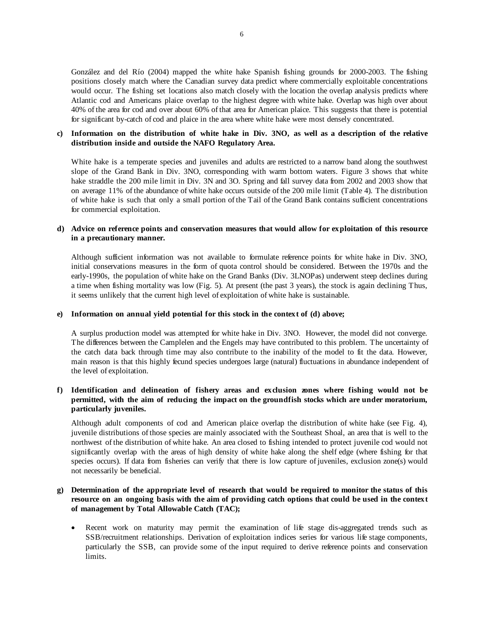González and del Río (2004) mapped the white hake Spanish fishing grounds for 2000-2003. The fishing positions closely match where the Canadian survey data predict where commercially exploitable concentrations would occur. The fishing set locations also match closely with the location the overlap analysis predicts where Atlantic cod and Americans plaice overlap to the highest degree with white hake. Overlap was high over about 40% of the area for cod and over about 60% of that area for American plaice. This suggests that there is potential for significant by-catch of cod and plaice in the area where white hake were most densely concentrated.

# **c) Information on the distribution of white hake in Div. 3NO, as well as a description of the relative distribution inside and outside the NAFO Regulatory Area.**

White hake is a temperate species and juveniles and adults are restricted to a narrow band along the southwest slope of the Grand Bank in Div. 3NO, corresponding with warm bottom waters. Figure 3 shows that white hake straddle the 200 mile limit in Div. 3N and 3O. Spring and fall survey data from 2002 and 2003 show that on average 11% of the abundance of white hake occurs outside of the 200 mile limit (Table 4). The distribution of white hake is such that only a small portion of the Tail of the Grand Bank contains sufficient concentrations for commercial exploitation.

# **d) Advice on reference points and conservation measures that would allow for exploitation of this resource in a precautionary manner.**

Although sufficient information was not available to formulate reference points for white hake in Div. 3NO, initial conservations measures in the form of quota control should be considered. Between the 1970s and the early-1990s, the population of white hake on the Grand Banks (Div. 3LNOPas) underwent steep declines during a time when fishing mortality was low (Fig. 5). At present (the past 3 years), the stock is again declining Thus, it seems unlikely that the current high level of exploitation of white hake is sustainable.

## **e) Information on annual yield potential for this stock in the context of (d) above;**

A surplus production model was attempted for white hake in Div. 3NO. However, the model did not converge. The differences between the Camplelen and the Engels may have contributed to this problem. The uncertainty of the catch data back through time may also contribute to the inability of the model to fit the data. However, main reason is that this highly fecund species undergoes large (natural) fluctuations in abundance independent of the level of exploitation.

# **f) Identification and delineation of fishery areas and exclusion zones where fishing would not be permitted, with the aim of reducing the impact on the groundfish stocks which are under moratorium, particularly juveniles.**

Although adult components of cod and American plaice overlap the distribution of white hake (see Fig. 4), juvenile distributions of those species are mainly associated with the Southeast Shoal, an area that is well to the northwest of the distribution of white hake. An area closed to fishing intended to protect juvenile cod would not significantly overlap with the areas of high density of white hake along the shelf edge (where fishing for that species occurs). If data from fisheries can verify that there is low capture of juveniles, exclusion zone(s) would not necessarily be beneficial.

# **g) Determination of the appropriate level of research that would be required to monitor the status of this resource on an ongoing basis with the aim of providing catch options that could be used in the context of management by Total Allowable Catch (TAC);**

• Recent work on maturity may permit the examination of life stage dis-aggregated trends such as SSB/recruitment relationships. Derivation of exploitation indices series for various life stage components, particularly the SSB, can provide some of the input required to derive reference points and conservation limits.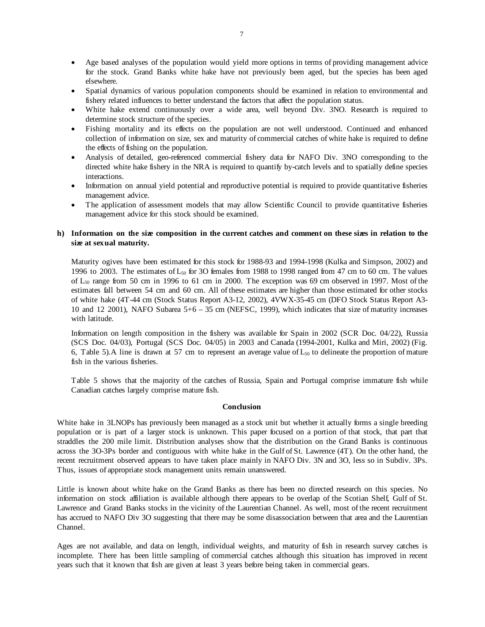- Age based analyses of the population would yield more options in terms of providing management advice for the stock. Grand Banks white hake have not previously been aged, but the species has been aged elsewhere.
- Spatial dynamics of various population components should be examined in relation to environmental and fishery related influences to better understand the factors that affect the population status.
- White hake extend continuously over a wide area, well beyond Div. 3NO. Research is required to determine stock structure of the species.
- Fishing mortality and its effects on the population are not well understood. Continued and enhanced collection of information on size, sex and maturity of commercial catches of white hake is required to define the effects of fishing on the population.
- Analysis of detailed, geo-referenced commercial fishery data for NAFO Div. 3NO corresponding to the directed white hake fishery in the NRA is required to quantify by-catch levels and to spatially define species interactions.
- Information on annual yield potential and reproductive potential is required to provide quantitative fisheries management advice.
- The application of assessment models that may allow Scientific Council to provide quantitative fisheries management advice for this stock should be examined.

# **h) Information on the size composition in the current catches and comment on these sizes in relation to the size at sexual maturity.**

Maturity ogives have been estimated for this stock for 1988-93 and 1994-1998 (Kulka and Simpson, 2002) and 1996 to 2003. The estimates of  $L_{50}$  for 3O females from 1988 to 1998 ranged from 47 cm to 60 cm. The values of  $L_{50}$  range from 50 cm in 1996 to 61 cm in 2000. The exception was 69 cm observed in 1997. Most of the estimates fall between 54 cm and 60 cm. All of these estimates are higher than those estimated for other stocks of white hake (4T-44 cm (Stock Status Report A3-12, 2002), 4VWX-35-45 cm (DFO Stock Status Report A3- 10 and 12 2001), NAFO Subarea 5+6 – 35 cm (NEFSC, 1999), which indicates that size of maturity increases with latitude.

Information on length composition in the fishery was available for Spain in 2002 (SCR Doc. 04/22), Russia (SCS Doc. 04/03), Portugal (SCS Doc. 04/05) in 2003 and Canada (1994-2001, Kulka and Miri, 2002) (Fig. 6, Table 5). A line is drawn at 57 cm to represent an average value of  $L_{50}$  to delineate the proportion of mature fish in the various fisheries.

Table 5 shows that the majority of the catches of Russia, Spain and Portugal comprise immature fish while Canadian catches largely comprise mature fish.

### **Conclusion**

White hake in 3LNOPs has previously been managed as a stock unit but whether it actually forms a single breeding population or is part of a larger stock is unknown. This paper focused on a portion of that stock, that part that straddles the 200 mile limit. Distribution analyses show that the distribution on the Grand Banks is continuous across the 3O-3Ps border and contiguous with white hake in the Gulf of St. Lawrence (4T). On the other hand, the recent recruitment observed appears to have taken place mainly in NAFO Div. 3N and 3O, less so in Subdiv. 3Ps. Thus, issues of appropriate stock management units remain unanswered.

Little is known about white hake on the Grand Banks as there has been no directed research on this species. No information on stock affiliation is available although there appears to be overlap of the Scotian Shelf, Gulf of St. Lawrence and Grand Banks stocks in the vicinity of the Laurentian Channel. As well, most of the recent recruitment has accrued to NAFO Div 3O suggesting that there may be some disassociation between that area and the Laurentian Channel.

Ages are not available, and data on length, individual weights, and maturity of fish in research survey catches is incomplete. There has been little sampling of commercial catches although this situation has improved in recent years such that it known that fish are given at least 3 years before being taken in commercial gears.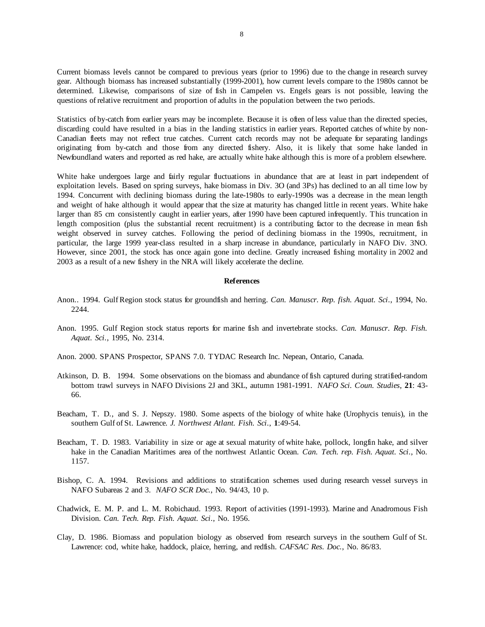Current biomass levels cannot be compared to previous years (prior to 1996) due to the change in research survey gear. Although biomass has increased substantially (1999-2001), how current levels compare to the 1980s cannot be determined. Likewise, comparisons of size of fish in Campelen vs. Engels gears is not possible, leaving the questions of relative recruitment and proportion of adults in the population between the two periods.

Statistics of by-catch from earlier years may be incomplete. Because it is often of less value than the directed species, discarding could have resulted in a bias in the landing statistics in earlier years. Reported catches of white by non-Canadian fleets may not reflect true catches. Current catch records may not be adequate for separating landings originating from by-catch and those from any directed fishery. Also, it is likely that some hake landed in Newfoundland waters and reported as red hake, are actually white hake although this is more of a problem elsewhere.

White hake undergoes large and fairly regular fluctuations in abundance that are at least in part independent of exploitation levels. Based on spring surveys, hake biomass in Div. 3O (and 3Ps) has declined to an all time low by 1994. Concurrent with declining biomass during the late-1980s to early-1990s was a decrease in the mean length and weight of hake although it would appear that the size at maturity has changed little in recent years. White hake larger than 85 cm consistently caught in earlier years, after 1990 have been captured infrequently. This truncation in length composition (plus the substantial recent recruitment) is a contributing factor to the decrease in mean fish weight observed in survey catches. Following the period of declining biomass in the 1990s, recruitment, in particular, the large 1999 year-class resulted in a sharp increase in abundance, particularly in NAFO Div. 3NO. However, since 2001, the stock has once again gone into decline. Greatly increased fishing mortality in 2002 and 2003 as a result of a new fishery in the NRA will likely accelerate the decline.

#### **References**

- Anon.. 1994. Gulf Region stock status for groundfish and herring. *Can. Manuscr. Rep. fish. Aquat. Sci*., 1994, No. 2244.
- Anon. 1995. Gulf Region stock status reports for marine fish and invertebrate stocks. *Can. Manuscr. Rep. Fish. Aquat. Sci*., 1995, No. 2314.
- Anon. 2000. SPANS Prospector, SPANS 7.0. TYDAC Research Inc. Nepean, Ontario, Canada.
- Atkinson, D. B. 1994. Some observations on the biomass and abundance of fish captured during stratified-random bottom trawl surveys in NAFO Divisions 2J and 3KL, autumn 1981-1991. *NAFO Sci. Coun. Studies*, **21**: 43- 66.
- Beacham, T. D., and S. J. Nepszy. 1980. Some aspects of the biology of white hake (Urophycis tenuis), in the southern Gulf of St. Lawrence. *J. Northwest Atlant. Fish. Sci*., **1**:49-54.
- Beacham, T. D. 1983. Variability in size or age at sexual maturity of white hake, pollock, longfin hake, and silver hake in the Canadian Maritimes area of the northwest Atlantic Ocean. *Can. Tech. rep. Fish. Aquat. Sci*., No. 1157.
- Bishop, C. A. 1994. Revisions and additions to stratification schemes used during research vessel surveys in NAFO Subareas 2 and 3. *NAFO SCR Doc*., No. 94/43, 10 p.
- Chadwick, E. M. P. and L. M. Robichaud. 1993. Report of activities (1991-1993). Marine and Anadromous Fish Division. *Can. Tech. Rep. Fish. Aquat. Sci*., No. 1956.
- Clay, D. 1986. Biomass and population biology as observed from research surveys in the southern Gulf of St. Lawrence: cod, white hake, haddock, plaice, herring, and redfish. *CAFSAC Res. Doc*., No. 86/83.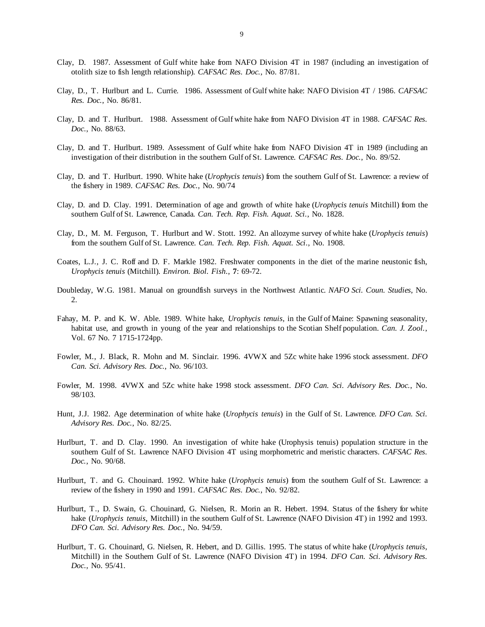- Clay, D. 1987. Assessment of Gulf white hake from NAFO Division 4T in 1987 (including an investigation of otolith size to fish length relationship). *CAFSAC Res. Doc*., No. 87/81.
- Clay, D., T. Hurlburt and L. Currie. 1986. Assessment of Gulf white hake: NAFO Division 4T / 1986. *CAFSAC Res. Doc*., No. 86/81.
- Clay, D. and T. Hurlburt. 1988. Assessment of Gulf white hake from NAFO Division 4T in 1988. *CAFSAC Res. Doc*., No. 88/63.
- Clay, D. and T. Hurlburt. 1989. Assessment of Gulf white hake from NAFO Division 4T in 1989 (including an investigation of their distribution in the southern Gulf of St. Lawrence. *CAFSAC Res. Doc*., No. 89/52.
- Clay, D. and T. Hurlburt. 1990. White hake (*Urophycis tenuis*) from the southern Gulf of St. Lawrence: a review of the fishery in 1989. *CAFSAC Res. Doc*., No. 90/74
- Clay, D. and D. Clay. 1991. Determination of age and growth of white hake (*Urophycis tenuis* Mitchill) from the southern Gulf of St. Lawrence, Canada. *Can. Tech. Rep. Fish. Aquat. Sci*., No. 1828.
- Clay, D., M. M. Ferguson, T. Hurlburt and W. Stott. 1992. An allozyme survey of white hake (*Urophycis tenuis*) from the southern Gulf of St. Lawrence. *Can. Tech. Rep. Fish. Aquat. Sci*., No. 1908.
- Coates, L.J., J. C. Roff and D. F. Markle 1982. Freshwater components in the diet of the marine neustonic fish, *Urophycis tenuis* (Mitchill). *Environ. Biol. Fish*., **7**: 69-72.
- Doubleday, W.G. 1981. Manual on groundfish surveys in the Northwest Atlantic. *NAFO Sci. Coun. Studies*, No. 2.
- Fahay, M. P. and K. W. Able. 1989. White hake, *Urophycis tenuis,* in the Gulf of Maine: Spawning seasonality, habitat use, and growth in young of the year and relationships to the Scotian Shelf population. *Can. J. Zool.*, Vol. 67 No. 7 1715-1724pp.
- Fowler, M., J. Black, R. Mohn and M. Sinclair. 1996. 4VWX and 5Zc white hake 1996 stock assessment. *DFO Can. Sci. Advisory Res. Doc*., No. 96/103.
- Fowler, M. 1998. 4VWX and 5Zc white hake 1998 stock assessment. *DFO Can. Sci. Advisory Res. Doc*., No. 98/103.
- Hunt, J.J. 1982. Age determination of white hake (*Urophycis tenuis*) in the Gulf of St. Lawrence. *DFO Can. Sci. Advisory Res. Doc*., No. 82/25.
- Hurlburt, T. and D. Clay. 1990. An investigation of white hake (Urophysis tenuis) population structure in the southern Gulf of St. Lawrence NAFO Division 4T using morphometric and meristic characters. *CAFSAC Res. Doc.*, No. 90/68.
- Hurlburt, T. and G. Chouinard. 1992. White hake (*Urophycis tenuis*) from the southern Gulf of St. Lawrence: a review of the fishery in 1990 and 1991. *CAFSAC Res. Doc*., No. 92/82.
- Hurlburt, T., D. Swain, G. Chouinard, G. Nielsen, R. Morin an R. Hebert. 1994. Status of the fishery for white hake (*Urophycis tenuis*, Mitchill) in the southern Gulf of St. Lawrence (NAFO Division 4T) in 1992 and 1993. *DFO Can. Sci. Advisory Res. Doc*., No. 94/59.
- Hurlburt, T. G. Chouinard, G. Nielsen, R. Hebert, and D. Gillis. 1995. The status of white hake (*Urophycis tenuis*, Mitchill) in the Southern Gulf of St. Lawrence (NAFO Division 4T) in 1994. *DFO Can. Sci. Advisory Res. Doc*., No. 95/41.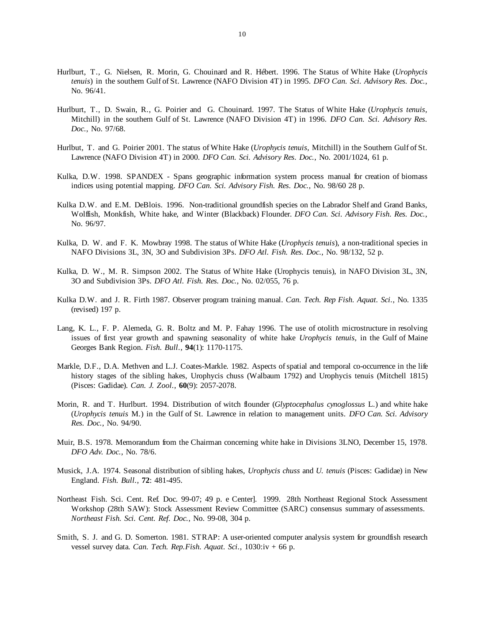- Hurlburt, T., G. Nielsen, R. Morin, G. Chouinard and R. Hébert. 1996. The Status of White Hake (*Urophycis tenuis*) in the southern Gulf of St. Lawrence (NAFO Division 4T) in 1995. *DFO Can. Sci. Advisory Res. Doc*., No. 96/41.
- Hurlburt, T., D. Swain, R., G. Poirier and G. Chouinard. 1997. The Status of White Hake (*Urophycis tenuis,*  Mitchill) in the southern Gulf of St. Lawrence (NAFO Division 4T) in 1996. *DFO Can. Sci. Advisory Res. Doc*., No. 97/68.
- Hurlbut, T. and G. Poirier 2001. The status of White Hake (*Urophycis tenuis,* Mitchill) in the Southern Gulf of St. Lawrence (NAFO Division 4T) in 2000. *DFO Can. Sci. Advisory Res. Doc*., No. 2001/1024, 61 p.
- Kulka, D.W. 1998. SPANDEX Spans geographic information system process manual for creation of biomass indices using potential mapping. *DFO Can. Sci. Advisory Fish. Res. Doc*., No. 98/60 28 p.
- Kulka D.W. and E.M. DeBlois. 1996. Non-traditional groundfish species on the Labrador Shelf and Grand Banks, Wolffish, Monkfish, White hake, and Winter (Blackback) Flounder. *DFO Can. Sci. Advisory Fish. Res. Doc*., No. 96/97.
- Kulka, D. W. and F. K. Mowbray 1998. The status of White Hake (*Urophycis tenuis*), a non-traditional species in NAFO Divisions 3L, 3N, 3O and Subdivision 3Ps. *DFO Atl. Fish. Res. Doc*., No. 98/132, 52 p.
- Kulka, D. W., M. R. Simpson 2002. The Status of White Hake (Urophycis tenuis), in NAFO Division 3L, 3N, 3O and Subdivision 3Ps. *DFO Atl. Fish. Res. Doc*., No. 02/055, 76 p.
- Kulka D.W. and J. R. Firth 1987. Observer program training manual. *Can. Tech. Rep Fish. Aquat. Sci*., No. 1335 (revised) 197 p.
- Lang, K. L., F. P. Alemeda, G. R. Boltz and M. P. Fahay 1996. The use of otolith microstructure in resolving issues of first year growth and spawning seasonality of white hake *Urophycis tenuis*, in the Gulf of Maine Georges Bank Region. *Fish. Bull*., **94**(1): 1170-1175.
- Markle, D.F., D.A. Methven and L.J. Coates-Markle. 1982. Aspects of spatial and temporal co-occurrence in the life history stages of the sibling hakes, Urophycis chuss (Walbaum 1792) and Urophycis tenuis (Mitchell 1815) (Pisces: Gadidae). *Can. J. Zool*., **60**(9): 2057-2078.
- Morin, R. and T. Hurlburt. 1994. Distribution of witch flounder (*Glyptocephalus cynoglossus* L.) and white hake (*Urophycis tenuis* M.) in the Gulf of St. Lawrence in relation to management units. *DFO Can. Sci. Advisory Res. Doc*., No. 94/90.
- Muir, B.S. 1978. Memorandum from the Chairman concerning white hake in Divisions 3LNO, December 15, 1978. *DFO Adv. Doc*., No. 78/6.
- Musick, J.A. 1974. Seasonal distribution of sibling hakes, *Urophycis chuss* and *U. tenuis* (Pisces: Gadidae) in New England. *Fish. Bull*., **72**: 481-495.
- Northeast Fish. Sci. Cent. Ref. Doc. 99-07; 49 p. e Center]. 1999. 28th Northeast Regional Stock Assessment Workshop (28th SAW): Stock Assessment Review Committee (SARC) consensus summary of assessments. *Northeast Fish. Sci. Cent. Ref. Doc*., No. 99-08, 304 p.
- Smith, S. J. and G. D. Somerton. 1981. STRAP: A user-oriented computer analysis system for groundfish research vessel survey data. *Can. Tech. Rep.Fish. Aquat. Sci*., 1030:iv + 66 p.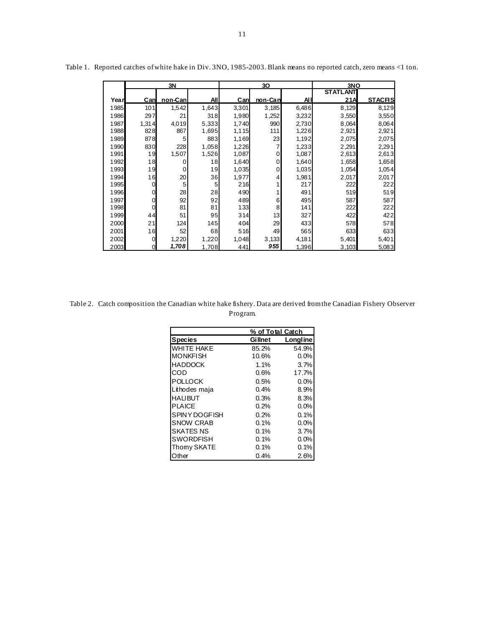|      | 3N          |             |       |       | 30      |            | 3NO             |                |
|------|-------------|-------------|-------|-------|---------|------------|-----------------|----------------|
|      |             |             |       |       |         |            | <b>STATLANT</b> |                |
| Year | Can         | non-Can     | All   | Can   | non-Can | <b>AII</b> | 21A             | <b>STACFIS</b> |
| 1985 | 101         | 1,542       | 1,643 | 3,301 | 3,185   | 6,486      | 8,129           | 8,129          |
| 1986 | 297         | 21          | 318   | 1,980 | 1,252   | 3,232      | 3,550           | 3,550          |
| 1987 | 1,314       | 4,019       | 5,333 | 1,740 | 990     | 2,730      | 8,064           | 8,064          |
| 1988 | 828         | 867         | 1,695 | 1,115 | 111     | 1,226      | 2,921           | 2,921          |
| 1989 | 878         | 5           | 883   | 1,169 | 23      | 1,192      | 2,075           | 2,075          |
| 1990 | 830         | 228         | 1,058 | 1,226 | 7       | 1,233      | 2,291           | 2,291          |
| 1991 | 19          | 1,507       | 1,526 | 1,087 | 0       | 1,087      | 2,613           | 2,613          |
| 1992 | 18          | 0           | 18    | 1,640 | 0       | 1,640      | 1,658           | 1,658          |
| 1993 | 19          | $\mathbf 0$ | 19    | 1,035 | 0       | 1,035      | 1,054           | 1,054          |
| 1994 | 16          | 20          | 36    | 1,977 | 4       | 1,981      | 2,017           | 2,017          |
| 1995 | 0           | 5           | 5     | 216   |         | 217        | 222             | 222            |
| 1996 | $\mathbf 0$ | 28          | 28    | 490   |         | 491        | 519             | 519            |
| 1997 | 0           | 92          | 92    | 489   | 6       | 495        | 587             | 587            |
| 1998 | $\mathbf 0$ | 81          | 81    | 133   | 8       | 141        | 222             | 222            |
| 1999 | 44          | 51          | 95    | 314   | 13      | 327        | 422             | 422            |
| 2000 | 21          | 124         | 145   | 404   | 29      | 433        | 578             | 578            |
| 2001 | 16          | 52          | 68    | 516   | 49      | 565        | 633             | 633            |
| 2002 | $\mathbf 0$ | 1,220       | 1,220 | 1,048 | 3,133   | 4,181      | 5,401           | 5,401          |
| 2003 | $\Omega$    | 1,708       | 1,708 | 441   | 955     | 1,396      | 3,103           | 5,083          |

Table 1. Reported catches of white hake in Div. 3NO, 1985-2003. Blank means no reported catch, zero means <1 ton.

Table 2. Catch composition the Canadian white hake fishery. Data are derived from the Canadian Fishery Observer Program.

|                   | % of Total Catch |          |  |
|-------------------|------------------|----------|--|
| <b>Species</b>    | <b>Gillnet</b>   | Longline |  |
| <b>WHITE HAKE</b> | 85.2%            | 54.9%    |  |
| <b>MONKFISH</b>   | 10.6%            | 0.0%     |  |
| <b>HADDOCK</b>    | 1.1%             | 3.7%     |  |
| COD               | 0.6%             | 17.7%    |  |
| POLLOCK           | 0.5%             | 0.0%     |  |
| Lithodes maja     | 0.4%             | 8.9%     |  |
| HALIBUT           | 0.3%             | 8.3%     |  |
| PI AICF           | 0.2%             | 0.0%     |  |
| SPINY DOGFISH     | 0.2%             | $0.1\%$  |  |
| <b>SNOW CRAB</b>  | 0.1%             | 0.0%     |  |
| <b>SKATES NS</b>  | $0.1\%$          | 3.7%     |  |
| <b>SWORDFISH</b>  | $0.1\%$          | 0.0%     |  |
| Thomy SKATE       | 0.1%             | 0.1%     |  |
| Other             | 0.4%             | 2.6%     |  |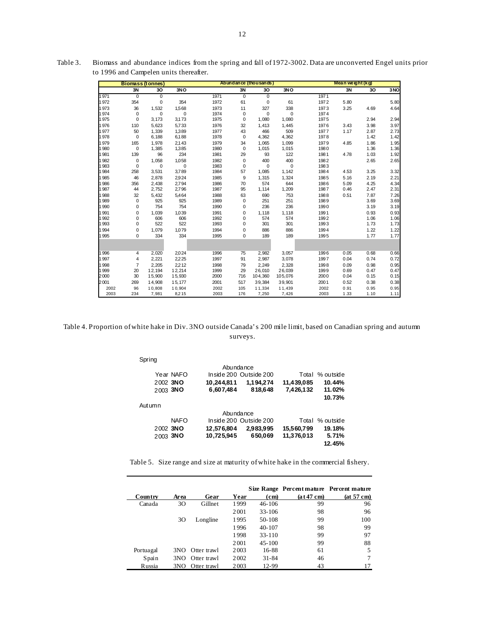|      | <b>Biomass (tonnes)</b> |             | Abundance (thousands) |      |     |         | Mean weight (kg) |      |      |      |      |
|------|-------------------------|-------------|-----------------------|------|-----|---------|------------------|------|------|------|------|
|      | 3N                      | 30          | 3NO                   |      | 3N  | 30      | 3NO              |      | 3N   | 30   | 3NO  |
| 1971 | $\mathbf 0$             | $\mathbf 0$ |                       | 1971 | 0   | 0       |                  | 1971 |      |      |      |
| 1972 | 354                     | 0           | 354                   | 1972 | 61  | 0       | 61               | 1972 | 5.80 |      | 5.80 |
| 1973 | 36                      | 1,532       | 1,568                 | 1973 | 11  | 327     | 338              | 1973 | 3.25 | 4.69 | 4.64 |
| 1974 | 0                       | $\mathbf 0$ | 0                     | 1974 | 0   | 0       | 0                | 1974 |      |      |      |
| 1975 | 0                       | 3,173       | 3,173                 | 1975 | 0   | 1,080   | 1,080            | 1975 |      | 2.94 | 2.94 |
| 1976 | 110                     | 5.623       | 5.733                 | 1976 | 32  | 1,413   | 1,445            | 1976 | 3.43 | 3.98 | 3.97 |
| 1977 | 50                      | 1,339       | 1,389                 | 1977 | 43  | 466     | 509              | 1977 | 1.17 | 2.87 | 2.73 |
| 1978 | $\mathbf 0$             | 6,188       | 6,188                 | 1978 | 0   | 4,362   | 4,362            | 1978 |      | 1.42 | 1.42 |
| 1979 | 165                     | 1.978       | 2.143                 | 1979 | 34  | 1.065   | 1,099            | 1979 | 4.85 | 1.86 | 1.95 |
| 1980 | 0                       | 1.385       | 1.385                 | 1980 | 0   | 1,015   | 1,015            | 1980 |      | 1.36 | 1.36 |
| 1981 | 139                     | 96          | 234                   | 1981 | 29  | 93      | 122              | 1981 | 4.78 | 1.03 | 1.92 |
| 1982 | 0                       | 1,058       | 1,058                 | 1982 | 0   | 400     | 400              | 1982 |      | 2.65 | 2.65 |
| 1983 | $\mathbf 0$             | $\mathbf 0$ | 0                     | 1983 | 0   | 0       | 0                | 1983 |      |      |      |
| 1984 | 258                     | 3,531       | 3,789                 | 1984 | 57  | 1,085   | 1,142            | 1984 | 4.53 | 3.25 | 3.32 |
| 1985 | 46                      | 2,878       | 2,924                 | 1985 | 9   | 1,315   | 1,324            | 1985 | 5.16 | 2.19 | 2.21 |
| 1986 | 356                     | 2,438       | 2,794                 | 1986 | 70  | 574     | 644              | 1986 | 5.09 | 4.25 | 4.34 |
| 1987 | 44                      | 2,752       | 2,796                 | 1987 | 95  | 1,114   | 1,209            | 1987 | 0.46 | 2.47 | 2.31 |
| 1988 | 32                      | 5,432       | 5,464                 | 1988 | 63  | 690     | 753              | 1988 | 0.51 | 7.87 | 7.26 |
| 1989 | 0                       | 925         | 925                   | 1989 | 0   | 251     | 251              | 1989 |      | 3.69 | 3.69 |
| 1990 | 0                       | 754         | 754                   | 1990 | 0   | 236     | 236              | 1990 |      | 3.19 | 3.19 |
| 1991 | 0                       | 1.039       | 1.039                 | 1991 | 0   | 1,118   | 1,118            | 1991 |      | 0.93 | 0.93 |
| 1992 | 0                       | 606         | 606                   | 1992 | 0   | 574     | 574              | 1992 |      | 1.06 | 1.06 |
| 1993 | 0                       | 522         | 522                   | 1993 | 0   | 301     | 301              | 1993 |      | 1.73 | 1.73 |
| 1994 | 0                       | 1.079       | 1.079                 | 1994 | 0   | 886     | 886              | 1994 |      | 1.22 | 1.22 |
| 1995 | 0                       | 334         | 334                   | 1995 | 0   | 189     | 189              | 1995 |      | 1.77 | 1.77 |
|      |                         |             |                       |      |     |         |                  |      |      |      |      |
| 1996 | 4                       | 2,020       | 2,024                 | 1996 | 75  | 2,982   | 3,057            | 1996 | 0.05 | 0.68 | 0.66 |
| 1997 | 4                       | 2,221       | 2,225                 | 1997 | 91  | 2,987   | 3,078            | 1997 | 0.04 | 0.74 | 0.72 |
| 1998 | $\overline{7}$          | 2,205       | 2,212                 | 1998 | 79  | 2,249   | 2,328            | 1998 | 0.09 | 0.98 | 0.95 |
| 1999 | 20                      | 12,194      | 12,214                | 1999 | 29  | 26,010  | 26,039           | 1999 | 0.69 | 0.47 | 0.47 |
| 2000 | 30                      | 15,900      | 15,930                | 2000 | 716 | 104,360 | 105,076          | 2000 | 0.04 | 0.15 | 0.15 |
| 2001 | 269                     | 14,908      | 15,177                | 2001 | 517 | 39,384  | 39,901           | 2001 | 0.52 | 0.38 | 0.38 |
| 2002 | 96                      | 10,808      | 10,904                | 2002 | 105 | 11,334  | 11,439           | 2002 | 0.91 | 0.95 | 0.95 |
| 2003 | 234                     | 7,981       | 8,215                 | 2003 | 176 | 7,250   | 7,426            | 2003 | 1.33 | 1.10 | 1.11 |

Table 3. Biomass and abundance indices from the spring and fall of 1972-3002. Data are unconverted Engel units prior to 1996 and Campelen units thereafter.

Table 4. Proportion of white hake in Div. 3NO outside Canada's 200 mile limit, based on Canadian spring and autumn surveys.

| Spring   |                                                           | Abundance              |           |            |           |  |  |  |  |
|----------|-----------------------------------------------------------|------------------------|-----------|------------|-----------|--|--|--|--|
|          | Inside 200 Outside 200<br>Year NAFO<br>% outside<br>Total |                        |           |            |           |  |  |  |  |
|          |                                                           |                        |           |            |           |  |  |  |  |
| 2002 3NO |                                                           | 10.244.811             | 1.194.274 | 11,439,085 | 10.44%    |  |  |  |  |
| 2003 3NO |                                                           | 6,607,484              | 818,648   | 7,426,132  | 11.02%    |  |  |  |  |
|          |                                                           |                        |           |            | 10.73%    |  |  |  |  |
| Autumn   |                                                           |                        |           |            |           |  |  |  |  |
|          | Abundance                                                 |                        |           |            |           |  |  |  |  |
|          | <b>NAFO</b>                                               | Inside 200 Outside 200 |           | Total      | % outside |  |  |  |  |
| 2002 3NO |                                                           | 12,576,804             | 2,983,995 | 15,560,799 | 19.18%    |  |  |  |  |
| 2003 3NO |                                                           | 10,725,945             | 650,069   | 11,376,013 | 5.71%     |  |  |  |  |
|          |                                                           |                        |           |            | 12.45%    |  |  |  |  |

Table 5. Size range and size at maturity of white hake in the commercial fishery.

|           |      |             |      |                   | Size Range Percent mature Percent mature |            |
|-----------|------|-------------|------|-------------------|------------------------------------------|------------|
| Country   | Area | Gear        | Year | (c <sub>m</sub> ) | (at 47 cm)                               | (at 57 cm) |
| Canada    | 3O   | Gillnet     | 1999 | $46 - 106$        | 99                                       | 96         |
|           |      |             | 2001 | $33 - 106$        | 98                                       | 96         |
|           | 30   | Longline    | 1995 | 50-108            | 99                                       | 100        |
|           |      |             | 1996 | $40 - 107$        | 98                                       | 99         |
|           |      |             | 1998 | $33 - 110$        | 99                                       | 97         |
|           |      |             | 2001 | $45 - 100$        | 99                                       | 88         |
| Portuagal | 3NO  | Otter trawl | 2003 | 16-88             | 61                                       | 5          |
| Spain     | 3NO  | Otter trawl | 2002 | 31-84             | 46                                       | 7          |
| Russia    | 3NO  | Otter trawl | 2003 | 12-99             | 43                                       | 17         |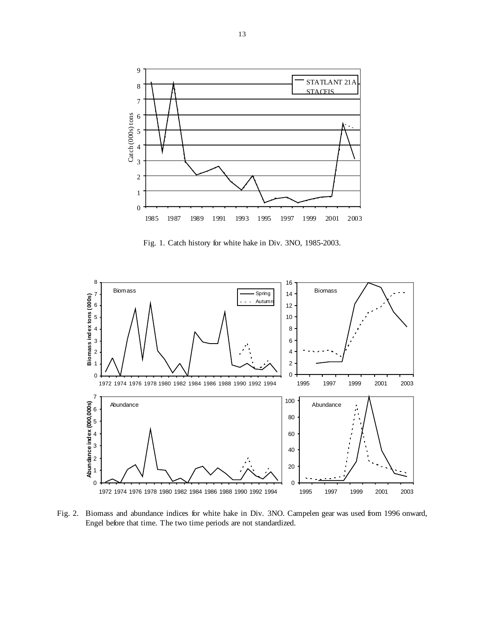

Fig. 1. Catch history for white hake in Div. 3NO, 1985-2003.



Fig. 2. Biomass and abundance indices for white hake in Div. 3NO. Campelen gear was used from 1996 onward, Engel before that time. The two time periods are not standardized.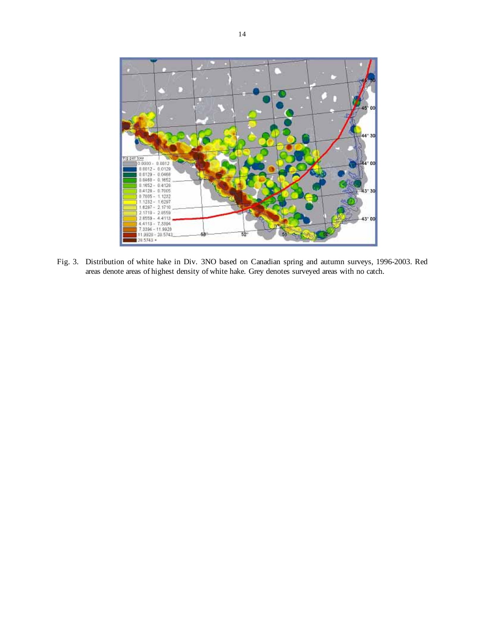

Fig. 3. Distribution of white hake in Div. 3NO based on Canadian spring and autumn surveys, 1996-2003. Red areas denote areas of highest density of white hake. Grey denotes surveyed areas with no catch.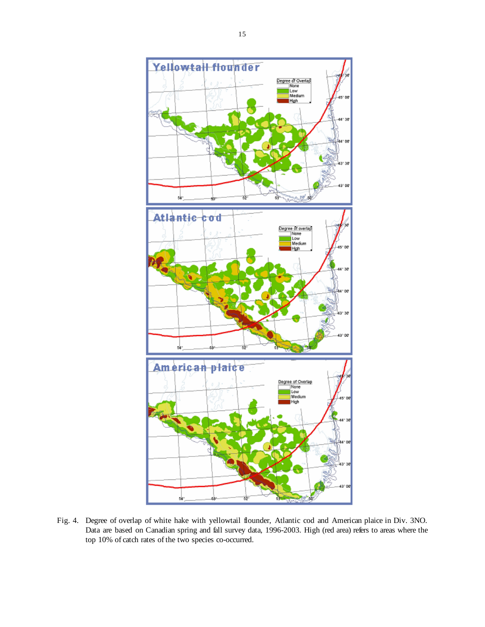

Fig. 4. Degree of overlap of white hake with yellowtail flounder, Atlantic cod and American plaice in Div. 3NO. Data are based on Canadian spring and fall survey data, 1996-2003. High (red area) refers to areas where the top 10% of catch rates of the two species co-occurred.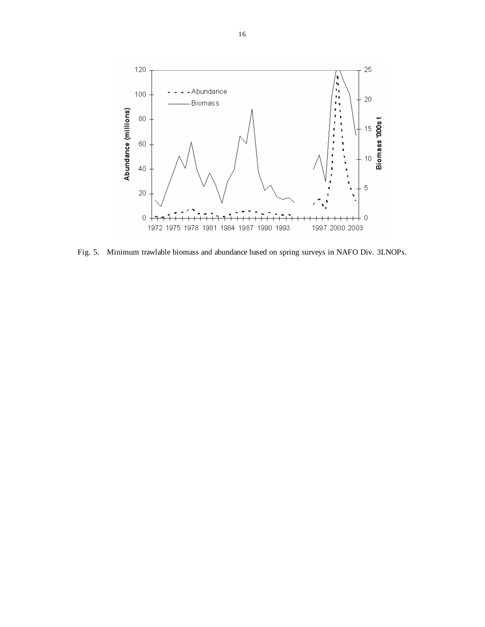

Fig. 5. Minimum trawlable biomass and abundance based on spring surveys in NAFO Div. 3LNOPs.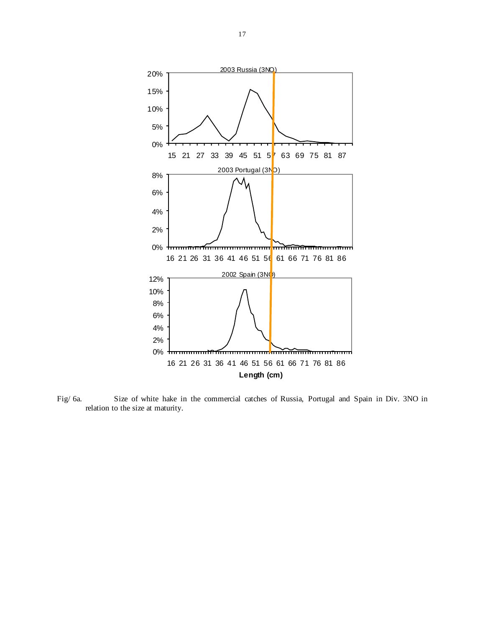

Fig/ 6a. Size of white hake in the commercial catches of Russia, Portugal and Spain in Div. 3NO in relation to the size at maturity.